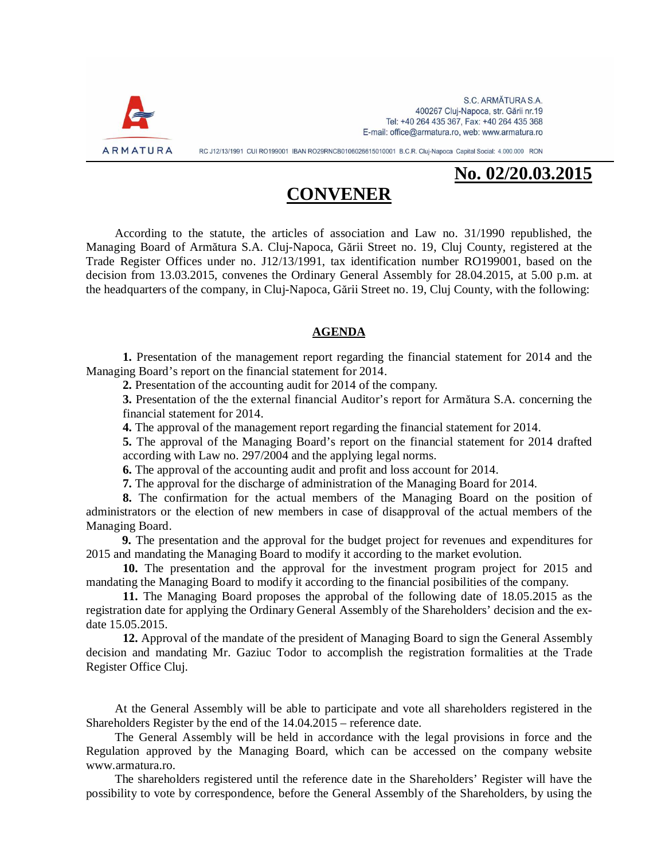

# **No. 02/20.03.2015**

# **CONVENER**

According to the statute, the articles of association and Law no. 31/1990 republished, the Managing Board of Armătura S.A. Cluj-Napoca, Gării Street no. 19, Cluj County, registered at the Trade Register Offices under no. J12/13/1991, tax identification number RO199001, based on the decision from 13.03.2015, convenes the Ordinary General Assembly for 28.04.2015, at 5.00 p.m. at the headquarters of the company, in Cluj-Napoca, Gării Street no. 19, Cluj County, with the following:

### **AGENDA**

**1.** Presentation of the management report regarding the financial statement for 2014 and the Managing Board's report on the financial statement for 2014.

**2.** Presentation of the accounting audit for 2014 of the company.

**3.** Presentation of the the external financial Auditor's report for Armătura S.A. concerning the financial statement for 2014.

**4.** The approval of the management report regarding the financial statement for 2014.

**5.** The approval of the Managing Board's report on the financial statement for 2014 drafted according with Law no. 297/2004 and the applying legal norms.

**6.** The approval of the accounting audit and profit and loss account for 2014.

**7.** The approval for the discharge of administration of the Managing Board for 2014.

**8.** The confirmation for the actual members of the Managing Board on the position of administrators or the election of new members in case of disapproval of the actual members of the Managing Board.

**9.** The presentation and the approval for the budget project for revenues and expenditures for 2015 and mandating the Managing Board to modify it according to the market evolution.

**10.** The presentation and the approval for the investment program project for 2015 and mandating the Managing Board to modify it according to the financial posibilities of the company.

**11.** The Managing Board proposes the approbal of the following date of 18.05.2015 as the registration date for applying the Ordinary General Assembly of the Shareholders' decision and the exdate 15.05.2015.

**12.** Approval of the mandate of the president of Managing Board to sign the General Assembly decision and mandating Mr. Gaziuc Todor to accomplish the registration formalities at the Trade Register Office Cluj.

At the General Assembly will be able to participate and vote all shareholders registered in the Shareholders Register by the end of the 14.04.2015 – reference date.

The General Assembly will be held in accordance with the legal provisions in force and the Regulation approved by the Managing Board, which can be accessed on the company website www.armatura.ro.

The shareholders registered until the reference date in the Shareholders' Register will have the possibility to vote by correspondence, before the General Assembly of the Shareholders, by using the